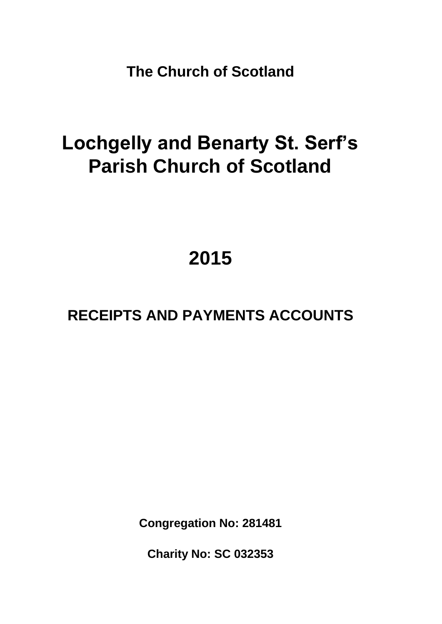**The Church of Scotland**

# **Lochgelly and Benarty St. Serf's Parish Church of Scotland**

# **2015**

# **RECEIPTS AND PAYMENTS ACCOUNTS**

**Congregation No: 281481**

**Charity No: SC 032353**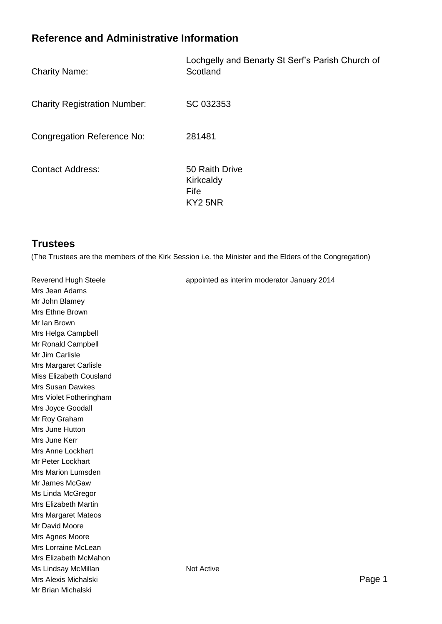# **Reference and Administrative Information**

| <b>Charity Name:</b> |  |  |
|----------------------|--|--|
|----------------------|--|--|

Lochgelly and Benarty St Serf's Parish Church of **Scotland** 

Charity Registration Number: SC 032353

Congregation Reference No: 281481

Contact Address: 50 Raith Drive

**Kirkcaldy** Fife KY2 5NR

# **Trustees**

(The Trustees are the members of the Kirk Session i.e. the Minister and the Elders of the Congregation)

| Reverend Hugh Steele         | appointed as interim moderator January 2014 |
|------------------------------|---------------------------------------------|
| Mrs Jean Adams               |                                             |
| Mr John Blamey               |                                             |
| Mrs Ethne Brown              |                                             |
| Mr Ian Brown                 |                                             |
| Mrs Helga Campbell           |                                             |
| Mr Ronald Campbell           |                                             |
| Mr Jim Carlisle              |                                             |
| <b>Mrs Margaret Carlisle</b> |                                             |
| Miss Elizabeth Cousland      |                                             |
| <b>Mrs Susan Dawkes</b>      |                                             |
| Mrs Violet Fotheringham      |                                             |
| Mrs Joyce Goodall            |                                             |
| Mr Roy Graham                |                                             |
| Mrs June Hutton              |                                             |
| Mrs June Kerr                |                                             |
| Mrs Anne Lockhart            |                                             |
| Mr Peter Lockhart            |                                             |
| Mrs Marion Lumsden           |                                             |
| Mr James McGaw               |                                             |
| Ms Linda McGregor            |                                             |
| <b>Mrs Elizabeth Martin</b>  |                                             |
| <b>Mrs Margaret Mateos</b>   |                                             |
| Mr David Moore               |                                             |
| Mrs Agnes Moore              |                                             |
| Mrs Lorraine McLean          |                                             |
| Mrs Elizabeth McMahon        |                                             |
| Ms Lindsay McMillan          | Not Active                                  |
| Mrs Alexis Michalski         | Page 1                                      |
| Mr Brian Michalski           |                                             |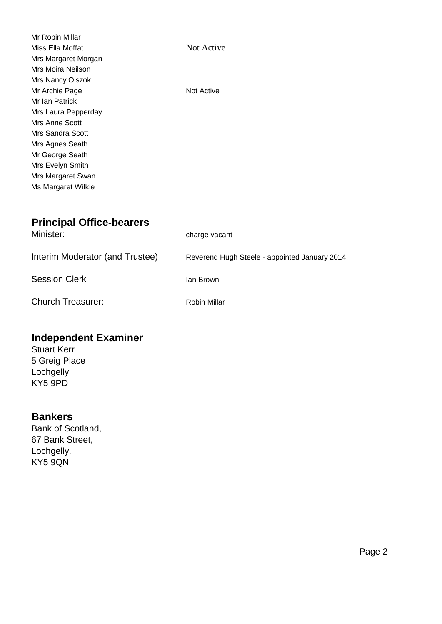| Mr Robin Millar     |            |
|---------------------|------------|
| Miss Ella Moffat    | Not Active |
| Mrs Margaret Morgan |            |
| Mrs Moira Neilson   |            |
| Mrs Nancy Olszok    |            |
| Mr Archie Page      | Not Active |
| Mr Ian Patrick      |            |
| Mrs Laura Pepperday |            |
| Mrs Anne Scott      |            |
| Mrs Sandra Scott    |            |
| Mrs Agnes Seath     |            |
| Mr George Seath     |            |
| Mrs Evelyn Smith    |            |
| Mrs Margaret Swan   |            |
| Ms Margaret Wilkie  |            |
|                     |            |

# **Principal Office-bearers**

| Minister:                       | charge vacant                                 |
|---------------------------------|-----------------------------------------------|
| Interim Moderator (and Trustee) | Reverend Hugh Steele - appointed January 2014 |
| <b>Session Clerk</b>            | lan Brown                                     |
| <b>Church Treasurer:</b>        | Robin Millar                                  |

# **Independent Examiner**

Stuart Kerr 5 Greig Place **Lochgelly** KY5 9PD

# **Bankers**

Bank of Scotland, 67 Bank Street, Lochgelly. KY5 9QN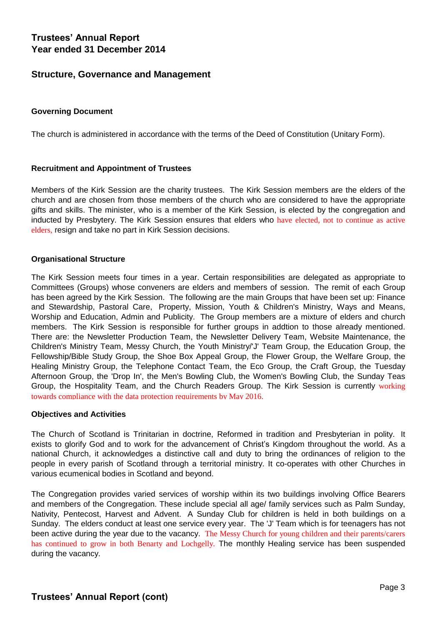# **Trustees' Annual Report Year ended 31 December 2014**

### **Structure, Governance and Management**

#### **Governing Document**

The church is administered in accordance with the terms of the Deed of Constitution (Unitary Form).

#### **Recruitment and Appointment of Trustees**

Members of the Kirk Session are the charity trustees. The Kirk Session members are the elders of the church and are chosen from those members of the church who are considered to have the appropriate gifts and skills. The minister, who is a member of the Kirk Session, is elected by the congregation and inducted by Presbytery. The Kirk Session ensures that elders who have elected, not to continue as active elders, resign and take no part in Kirk Session decisions.

#### **Organisational Structure**

The Kirk Session meets four times in a year. Certain responsibilities are delegated as appropriate to Committees (Groups) whose conveners are elders and members of session. The remit of each Group has been agreed by the Kirk Session. The following are the main Groups that have been set up: Finance and Stewardship, Pastoral Care, Property, Mission, Youth & Children's Ministry, Ways and Means, Worship and Education, Admin and Publicity. The Group members are a mixture of elders and church members. The Kirk Session is responsible for further groups in addtion to those already mentioned. There are: the Newsletter Production Team, the Newsletter Delivery Team, Website Maintenance, the Children's Ministry Team, Messy Church, the Youth Ministry/'J' Team Group, the Education Group, the Fellowship/Bible Study Group, the Shoe Box Appeal Group, the Flower Group, the Welfare Group, the Healing Ministry Group, the Telephone Contact Team, the Eco Group, the Craft Group, the Tuesday Afternoon Group, the 'Drop In', the Men's Bowling Club, the Women's Bowling Club, the Sunday Teas Group, the Hospitality Team, and the Church Readers Group. The Kirk Session is currently working towards compliance with the data protection requirements by May 2016.

#### **Objectives and Activities**

The Church of Scotland is Trinitarian in doctrine, Reformed in tradition and Presbyterian in polity. It exists to glorify God and to work for the advancement of Christ's Kingdom throughout the world. As a national Church, it acknowledges a distinctive call and duty to bring the ordinances of religion to the people in every parish of Scotland through a territorial ministry. It co-operates with other Churches in various ecumenical bodies in Scotland and beyond.

The Congregation provides varied services of worship within its two buildings involving Office Bearers and members of the Congregation. These include special all age/ family services such as Palm Sunday, Nativity, Pentecost, Harvest and Advent. A Sunday Club for children is held in both buildings on a Sunday. The elders conduct at least one service every year. The 'J' Team which is for teenagers has not been active during the year due to the vacancy. The Messy Church for young children and their parents/carers has continued to grow in both Benarty and Lochgelly. The monthly Healing service has been suspended during the vacancy.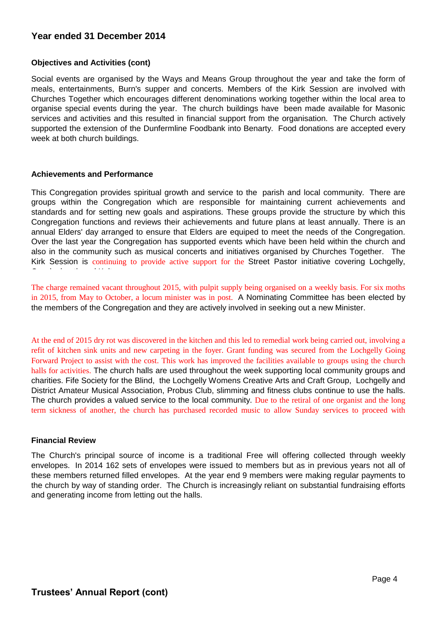### **Year ended 31 December 2014**

#### **Objectives and Activities (cont)**

Social events are organised by the Ways and Means Group throughout the year and take the form of meals, entertainments, Burn's supper and concerts. Members of the Kirk Session are involved with Churches Together which encourages different denominations working together within the local area to organise special events during the year. The church buildings have been made available for Masonic services and activities and this resulted in financial support from the organisation. The Church actively supported the extension of the Dunfermline Foodbank into Benarty. Food donations are accepted every week at both church buildings.

#### **Achievements and Performance**

This Congregation provides spiritual growth and service to the parish and local community. There are groups within the Congregation which are responsible for maintaining current achievements and standards and for setting new goals and aspirations. These groups provide the structure by which this Congregation functions and reviews their achievements and future plans at least annually. There is an annual Elders' day arranged to ensure that Elders are equiped to meet the needs of the Congregation. Over the last year the Congregation has supported events which have been held within the church and also in the community such as musical concerts and initiatives organised by Churches Together. The Kirk Session is continuing to provide active support for the Street Pastor initiative covering Lochgelly, Cowdenbeath and Kelty.<br>Co

The charge remained vacant throughout 2015, with pulpit supply being organised on a weekly basis. For six moths in 2015, from May to October, a locum minister was in post. A Nominating Committee has been elected by the members of the Congregation and they are actively involved in seeking out a new Minister.

At the end of 2015 dry rot was discovered in the kitchen and this led to remedial work being carried out, involving a refit of kitchen sink units and new carpeting in the foyer. Grant funding was secured from the Lochgelly Going Forward Project to assist with the cost. This work has improved the facilities available to groups using the church halls for activities. The church halls are used throughout the week supporting local community groups and charities. Fife Society for the Blind, the Lochgelly Womens Creative Arts and Craft Group, Lochgelly and District Amateur Musical Association, Probus Club, slimming and fitness clubs continue to use the halls. The church provides a valued service to the local community. Due to the retiral of one organist and the long term sickness of another, the church has purchased recorded music to allow Sunday services to proceed with

#### **Financial Review**

The Church's principal source of income is a traditional Free will offering collected through weekly envelopes. In 2014 162 sets of envelopes were issued to members but as in previous years not all of these members returned filled envelopes. At the year end 9 members were making regular payments to the church by way of standing order. The Church is increasingly reliant on substantial fundraising efforts and generating income from letting out the halls.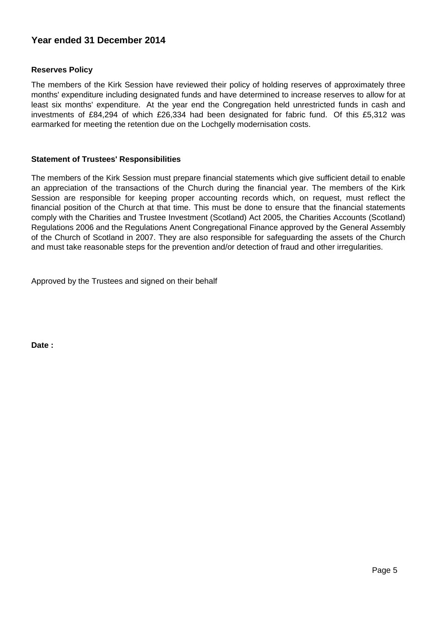## **Year ended 31 December 2014**

#### **Reserves Policy**

The members of the Kirk Session have reviewed their policy of holding reserves of approximately three months' expenditure including designated funds and have determined to increase reserves to allow for at least six months' expenditure. At the year end the Congregation held unrestricted funds in cash and investments of £84,294 of which £26,334 had been designated for fabric fund. Of this £5,312 was earmarked for meeting the retention due on the Lochgelly modernisation costs.

#### **Statement of Trustees' Responsibilities**

The members of the Kirk Session must prepare financial statements which give sufficient detail to enable an appreciation of the transactions of the Church during the financial year. The members of the Kirk Session are responsible for keeping proper accounting records which, on request, must reflect the financial position of the Church at that time. This must be done to ensure that the financial statements comply with the Charities and Trustee Investment (Scotland) Act 2005, the Charities Accounts (Scotland) Regulations 2006 and the Regulations Anent Congregational Finance approved by the General Assembly of the Church of Scotland in 2007. They are also responsible for safeguarding the assets of the Church and must take reasonable steps for the prevention and/or detection of fraud and other irregularities.

Approved by the Trustees and signed on their behalf

**Date :**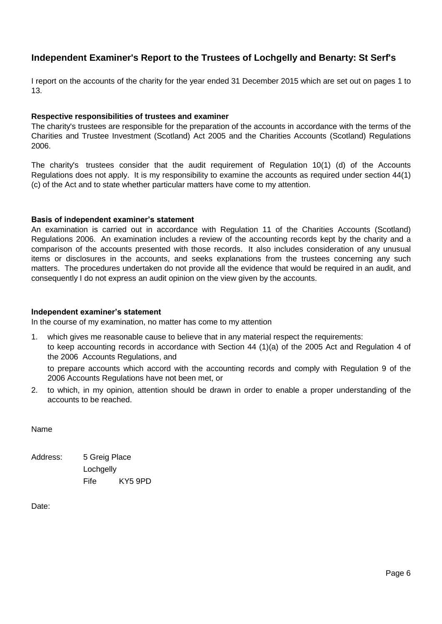# **Independent Examiner's Report to the Trustees of Lochgelly and Benarty: St Serf's**

I report on the accounts of the charity for the year ended 31 December 2015 which are set out on pages 1 to 13.

#### **Respective responsibilities of trustees and examiner**

The charity's trustees are responsible for the preparation of the accounts in accordance with the terms of the Charities and Trustee Investment (Scotland) Act 2005 and the Charities Accounts (Scotland) Regulations 2006.

The charity's trustees consider that the audit requirement of Regulation 10(1) (d) of the Accounts Regulations does not apply. It is my responsibility to examine the accounts as required under section 44(1) (c) of the Act and to state whether particular matters have come to my attention.

#### **Basis of independent examiner's statement**

An examination is carried out in accordance with Regulation 11 of the Charities Accounts (Scotland) Regulations 2006. An examination includes a review of the accounting records kept by the charity and a comparison of the accounts presented with those records. It also includes consideration of any unusual items or disclosures in the accounts, and seeks explanations from the trustees concerning any such matters. The procedures undertaken do not provide all the evidence that would be required in an audit, and consequently I do not express an audit opinion on the view given by the accounts.

#### **Independent examiner's statement**

In the course of my examination, no matter has come to my attention

1. which gives me reasonable cause to believe that in any material respect the requirements: to keep accounting records in accordance with Section 44 (1)(a) of the 2005 Act and Regulation 4 of the 2006 Accounts Regulations, and

to prepare accounts which accord with the accounting records and comply with Regulation 9 of the 2006 Accounts Regulations have not been met, or

2. to which, in my opinion, attention should be drawn in order to enable a proper understanding of the accounts to be reached.

Name

Address: 5 Greig Place Lochaelly Fife KY5 9PD

Date: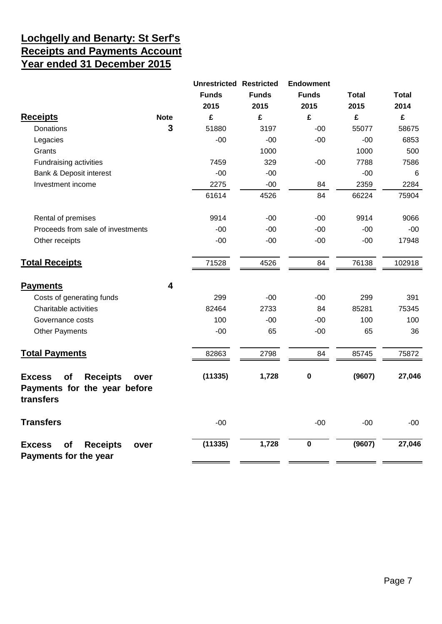# **Lochgelly and Benarty: St Serf's Receipts and Payments Account Year ended 31 December 2015**

|                                                                                             |             | <b>Unrestricted Restricted</b> |              | <b>Endowment</b>        |              |                 |
|---------------------------------------------------------------------------------------------|-------------|--------------------------------|--------------|-------------------------|--------------|-----------------|
|                                                                                             |             | <b>Funds</b>                   | <b>Funds</b> | <b>Funds</b>            | <b>Total</b> | <b>Total</b>    |
|                                                                                             |             | 2015                           | 2015         | 2015                    | 2015         | 2014            |
| <b>Receipts</b>                                                                             | <b>Note</b> | £                              | £            | £                       | £            | £               |
| Donations                                                                                   | 3           | 51880                          | 3197         | $-00$                   | 55077        | 58675           |
| Legacies                                                                                    |             | $-00$                          | $-00$        | $-00$                   | $-00$        | 6853            |
| Grants                                                                                      |             |                                | 1000         |                         | 1000         | 500             |
| Fundraising activities                                                                      |             | 7459                           | 329          | $-00$                   | 7788         | 7586            |
| Bank & Deposit interest                                                                     |             | $-00$                          | $-00$        |                         | $-00$        | $6\phantom{1}6$ |
| Investment income                                                                           |             | 2275                           | $-00$        | 84                      | 2359         | 2284            |
|                                                                                             |             | 61614                          | 4526         | 84                      | 66224        | 75904           |
| Rental of premises                                                                          |             | 9914                           | $-00$        | $-00$                   | 9914         | 9066            |
| Proceeds from sale of investments                                                           |             | $-00$                          | $-00$        | $-00$                   | $-00$        | $-00$           |
| Other receipts                                                                              |             | $-00$                          | $-00$        | $-00$                   | $-00$        | 17948           |
| <b>Total Receipts</b>                                                                       |             | 71528                          | 4526         | 84                      | 76138        | 102918          |
| <b>Payments</b>                                                                             | 4           |                                |              |                         |              |                 |
| Costs of generating funds                                                                   |             | 299                            | $-00$        | $-00$                   | 299          | 391             |
| Charitable activities                                                                       |             | 82464                          | 2733         | 84                      | 85281        | 75345           |
| Governance costs                                                                            |             | 100                            | $-00$        | $-00$                   | 100          | 100             |
| <b>Other Payments</b>                                                                       |             | $-00$                          | 65           | $-00$                   | 65           | 36              |
| <b>Total Payments</b>                                                                       |             | 82863                          | 2798         | 84                      | 85745        | 75872           |
| of<br><b>Receipts</b><br><b>Excess</b><br>over<br>Payments for the year before<br>transfers |             | (11335)                        | 1,728        | $\pmb{0}$               | (9607)       | 27,046          |
| <b>Transfers</b>                                                                            |             | $-00$                          |              | $-00$                   | $-00$        | $-00$           |
| <b>Receipts</b><br><b>Excess</b><br>of<br>over<br>Payments for the year                     |             | (11335)                        | 1,728        | $\overline{\mathbf{0}}$ | (9607)       | 27,046          |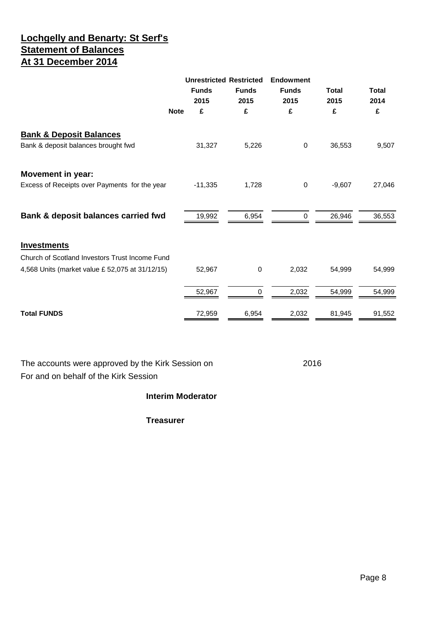# **Lochgelly and Benarty: St Serf's Statement of Balances At 31 December 2014**

|                                                                           | <b>Funds</b><br>2015 | <b>Unrestricted Restricted</b><br><b>Funds</b><br>2015 | <b>Endowment</b><br><b>Funds</b><br>2015 | <b>Total</b><br>2015 | Total<br>2014 |
|---------------------------------------------------------------------------|----------------------|--------------------------------------------------------|------------------------------------------|----------------------|---------------|
| <b>Note</b>                                                               | £                    | £                                                      | £                                        | £                    | £             |
| <b>Bank &amp; Deposit Balances</b><br>Bank & deposit balances brought fwd | 31,327               | 5,226                                                  | $\mathbf 0$                              | 36,553               | 9,507         |
| <b>Movement in year:</b><br>Excess of Receipts over Payments for the year | $-11,335$            | 1,728                                                  | $\mathbf 0$                              | $-9,607$             | 27,046        |
| Bank & deposit balances carried fwd                                       | 19,992               | 6,954                                                  | $\mathbf 0$                              | 26,946               | 36,553        |
| <b>Investments</b>                                                        |                      |                                                        |                                          |                      |               |
| Church of Scotland Investors Trust Income Fund                            |                      |                                                        |                                          |                      |               |
| 4,568 Units (market value £ 52,075 at 31/12/15)                           | 52,967               | $\mathbf 0$                                            | 2,032                                    | 54,999               | 54,999        |
|                                                                           | 52,967               | 0                                                      | 2,032                                    | 54,999               | 54,999        |
| <b>Total FUNDS</b>                                                        | 72,959               | 6,954                                                  | 2,032                                    | 81,945               | 91,552        |
|                                                                           |                      |                                                        |                                          |                      |               |

The accounts were approved by the Kirk Session on 2016 For and on behalf of the Kirk Session

#### **Interim Moderator**

**Treasurer**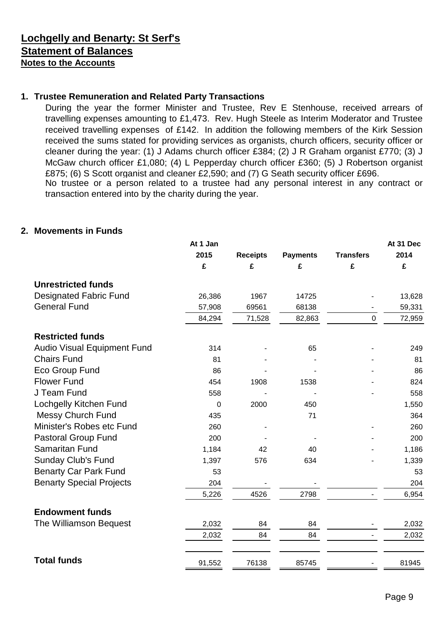# **Lochgelly and Benarty: St Serf's Statement of Balances Notes to the Accounts**

# **1. Trustee Remuneration and Related Party Transactions**

During the year the former Minister and Trustee, Rev E Stenhouse, received arrears of travelling expenses amounting to £1,473. Rev. Hugh Steele as Interim Moderator and Trustee received travelling expenses of £142. In addition the following members of the Kirk Session received the sums stated for providing services as organists, church officers, security officer or cleaner during the year: (1) J Adams church officer £384; (2) J R Graham organist £770; (3) J McGaw church officer £1,080; (4) L Pepperday church officer £360; (5) J Robertson organist £875; (6) S Scott organist and cleaner £2,590; and (7) G Seath security officer £696. No trustee or a person related to a trustee had any personal interest in any contract or transaction entered into by the charity during the year.

### **2. Movements in Funds**

|                                 | At 1 Jan    |                 |                 |                  | At 31 Dec |
|---------------------------------|-------------|-----------------|-----------------|------------------|-----------|
|                                 | 2015        | <b>Receipts</b> | <b>Payments</b> | <b>Transfers</b> | 2014      |
|                                 | £           | £               | £               | £                | £         |
| <b>Unrestricted funds</b>       |             |                 |                 |                  |           |
| <b>Designated Fabric Fund</b>   | 26,386      | 1967            | 14725           |                  | 13,628    |
| <b>General Fund</b>             | 57,908      | 69561           | 68138           |                  | 59,331    |
|                                 | 84,294      | 71,528          | 82,863          | $\mathbf 0$      | 72,959    |
| <b>Restricted funds</b>         |             |                 |                 |                  |           |
| Audio Visual Equipment Fund     | 314         |                 | 65              |                  | 249       |
| <b>Chairs Fund</b>              | 81          |                 |                 |                  | 81        |
| Eco Group Fund                  | 86          |                 |                 |                  | 86        |
| <b>Flower Fund</b>              | 454         | 1908            | 1538            |                  | 824       |
| J Team Fund                     | 558         |                 |                 |                  | 558       |
| Lochgelly Kitchen Fund          | $\mathbf 0$ | 2000            | 450             |                  | 1,550     |
| <b>Messy Church Fund</b>        | 435         |                 | 71              |                  | 364       |
| Minister's Robes etc Fund       | 260         |                 |                 |                  | 260       |
| <b>Pastoral Group Fund</b>      | 200         |                 |                 |                  | 200       |
| <b>Samaritan Fund</b>           | 1,184       | 42              | 40              |                  | 1,186     |
| <b>Sunday Club's Fund</b>       | 1,397       | 576             | 634             |                  | 1,339     |
| <b>Benarty Car Park Fund</b>    | 53          |                 |                 |                  | 53        |
| <b>Benarty Special Projects</b> | 204         |                 |                 |                  | 204       |
|                                 | 5,226       | 4526            | 2798            |                  | 6,954     |
| <b>Endowment funds</b>          |             |                 |                 |                  |           |
| The Williamson Bequest          | 2,032       | 84              | 84              |                  | 2,032     |
|                                 | 2,032       | 84              | 84              |                  | 2,032     |
| <b>Total funds</b>              |             |                 |                 |                  |           |
|                                 | 91,552      | 76138           | 85745           |                  | 81945     |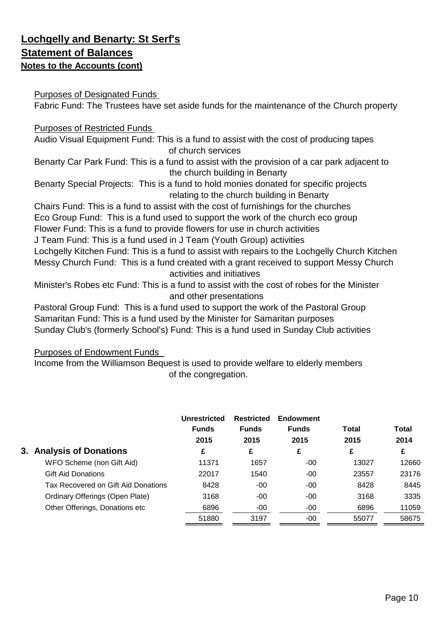# **Lochgelly and Benarty: St Serf's Statement of Balances Notes to the Accounts (cont)**

# Purposes of Designated Funds

Fabric Fund: The Trustees have set aside funds for the maintenance of the Church property

# Purposes of Restricted Funds

Audio Visual Equipment Fund: This is a fund to assist with the cost of producing tapes of church services

Benarty Car Park Fund: This is a fund to assist with the provision of a car park adjacent to the church building in Benarty

Benarty Special Projects: This is a fund to hold monies donated for specific projects relating to the church building in Benarty

Chairs Fund: This is a fund to assist with the cost of furnishings for the churches Eco Group Fund: This is a fund used to support the work of the church eco group Flower Fund: This is a fund to provide flowers for use in church activities

J Team Fund: This is a fund used in J Team (Youth Group) activities

Lochgelly Kitchen Fund: This is a fund to assist with repairs to the Lochgelly Church Kitchen Messy Church Fund: This is a fund created with a grant received to support Messy Church activities and initiatives

Minister's Robes etc Fund: This is a fund to assist with the cost of robes for the Minister and other presentations

Samaritan Fund: This is a fund used by the Minister for Samaritan purposes Sunday Club's (formerly School's) Fund: This is a fund used in Sunday Club activities Pastoral Group Fund: This is a fund used to support the work of the Pastoral Group

# Purposes of Endowment Funds

Income from the Williamson Bequest is used to provide welfare to elderly members of the congregation.

|                                     | Unrestricted<br><b>Funds</b><br>2015 | <b>Restricted</b><br><b>Funds</b><br>2015 | <b>Endowment</b><br><b>Funds</b><br>2015 | Total<br>2015 | <b>Total</b><br>2014 |
|-------------------------------------|--------------------------------------|-------------------------------------------|------------------------------------------|---------------|----------------------|
| 3. Analysis of Donations            | £                                    | £                                         | £                                        | £             | £                    |
| WFO Scheme (non Gift Aid)           | 11371                                | 1657                                      | $-00$                                    | 13027         | 12660                |
| <b>Gift Aid Donations</b>           | 22017                                | 1540                                      | $-00$                                    | 23557         | 23176                |
| Tax Recovered on Gift Aid Donations | 8428                                 | $-00$                                     | $-00$                                    | 8428          | 8445                 |
| Ordinary Offerings (Open Plate)     | 3168                                 | $-00$                                     | $-00$                                    | 3168          | 3335                 |
| Other Offerings, Donations etc      | 6896                                 | $-00$                                     | $-00$                                    | 6896          | 11059                |
|                                     | 51880                                | 3197                                      | $-00$                                    | 55077         | 58675                |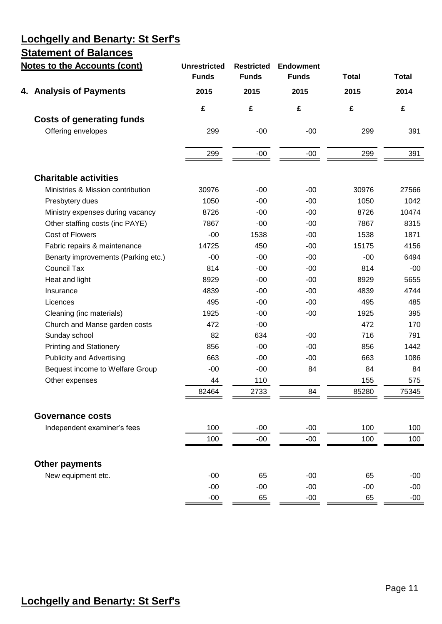# **Lochgelly and Benarty: St Serf's**

# **Statement of Balances**

| <b>Notes to the Accounts (cont)</b> | <b>Unrestricted</b><br><b>Funds</b> | <b>Restricted</b><br><b>Funds</b> | <b>Endowment</b><br><b>Funds</b> | <b>Total</b> | <b>Total</b> |
|-------------------------------------|-------------------------------------|-----------------------------------|----------------------------------|--------------|--------------|
| 4. Analysis of Payments             | 2015                                | 2015                              | 2015                             | 2015         | 2014         |
|                                     | £                                   | £                                 | £                                | £            | £            |
| <b>Costs of generating funds</b>    |                                     |                                   |                                  |              |              |
| Offering envelopes                  | 299                                 | $-00$                             | $-00$                            | 299          | 391          |
|                                     | 299                                 | $-00$                             | $-00$                            | 299          | 391          |
| <b>Charitable activities</b>        |                                     |                                   |                                  |              |              |
| Ministries & Mission contribution   | 30976                               | $-00$                             | $-00$                            | 30976        | 27566        |
| Presbytery dues                     | 1050                                | $-00$                             | $-00$                            | 1050         | 1042         |
| Ministry expenses during vacancy    | 8726                                | $-00$                             | $-00$                            | 8726         | 10474        |
| Other staffing costs (inc PAYE)     | 7867                                | $-00$                             | $-00$                            | 7867         | 8315         |
| Cost of Flowers                     | $-00$                               | 1538                              | $-00$                            | 1538         | 1871         |
| Fabric repairs & maintenance        | 14725                               | 450                               | $-00$                            | 15175        | 4156         |
| Benarty improvements (Parking etc.) | $-00$                               | $-00$                             | $-00$                            | $-00$        | 6494         |
| <b>Council Tax</b>                  | 814                                 | $-00$                             | $-00$                            | 814          | $-00$        |
| Heat and light                      | 8929                                | $-00$                             | $-00$                            | 8929         | 5655         |
| Insurance                           | 4839                                | $-00$                             | $-00$                            | 4839         | 4744         |
| Licences                            | 495                                 | $-00$                             | $-00$                            | 495          | 485          |
| Cleaning (inc materials)            | 1925                                | $-00$                             | $-00$                            | 1925         | 395          |
| Church and Manse garden costs       | 472                                 | $-00$                             |                                  | 472          | 170          |
| Sunday school                       | 82                                  | 634                               | $-00$                            | 716          | 791          |
| <b>Printing and Stationery</b>      | 856                                 | $-00$                             | $-00$                            | 856          | 1442         |
| <b>Publicity and Advertising</b>    | 663                                 | $-00$                             | $-00$                            | 663          | 1086         |
| Bequest income to Welfare Group     | $-00$                               | $-00$                             | 84                               | 84           | 84           |
| Other expenses                      | 44                                  | 110                               |                                  | 155          | 575          |
|                                     | 82464                               | 2733                              | 84                               | 85280        | 75345        |
| <b>Governance costs</b>             |                                     |                                   |                                  |              |              |
| Independent examiner's fees         | 100                                 | $-00$                             | $-00$                            | 100          | 100          |
|                                     | 100                                 | $-00$                             | $-00$                            | 100          | 100          |
| <b>Other payments</b>               |                                     |                                   |                                  |              |              |
| New equipment etc.                  | $-00$                               | 65                                | $-00$                            | 65           | $-00$        |
|                                     | $-00$                               | $-00$                             | $-00$                            | $-00$        | $-00$        |
|                                     | $-00$                               | 65                                | $-00$                            | 65           | $-00$        |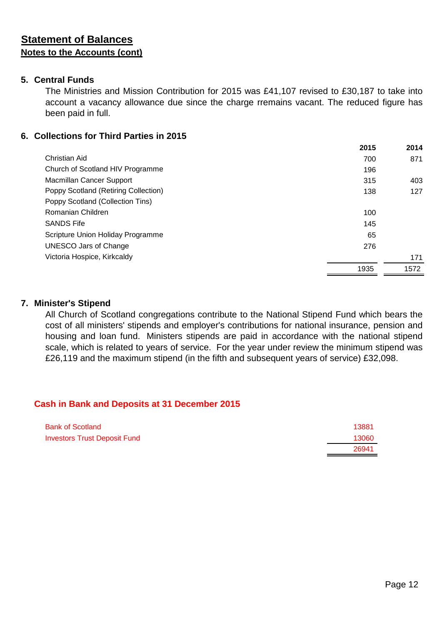### **5. Central Funds**

The Ministries and Mission Contribution for 2015 was £41,107 revised to £30,187 to take into account a vacancy allowance due since the charge rremains vacant. The reduced figure has been paid in full.

### **6. Collections for Third Parties in 2015**

|                                      | 2015 | 2014 |
|--------------------------------------|------|------|
| Christian Aid                        | 700  | 871  |
| Church of Scotland HIV Programme     | 196  |      |
| Macmillan Cancer Support             | 315  | 403  |
| Poppy Scotland (Retiring Collection) | 138  | 127  |
| Poppy Scotland (Collection Tins)     |      |      |
| Romanian Children                    | 100  |      |
| <b>SANDS Fife</b>                    | 145  |      |
| Scripture Union Holiday Programme    | 65   |      |
| <b>UNESCO Jars of Change</b>         | 276  |      |
| Victoria Hospice, Kirkcaldy          |      | 171  |
|                                      | 1935 | 1572 |

### **7. Minister's Stipend**

All Church of Scotland congregations contribute to the National Stipend Fund which bears the cost of all ministers' stipends and employer's contributions for national insurance, pension and housing and loan fund. Ministers stipends are paid in accordance with the national stipend scale, which is related to years of service. For the year under review the minimum stipend was £26,119 and the maximum stipend (in the fifth and subsequent years of service) £32,098.

# **Cash in Bank and Deposits at 31 December 2015**

| <b>Bank of Scotland</b>             | 13881 |
|-------------------------------------|-------|
| <b>Investors Trust Deposit Fund</b> | 13060 |
|                                     | 26941 |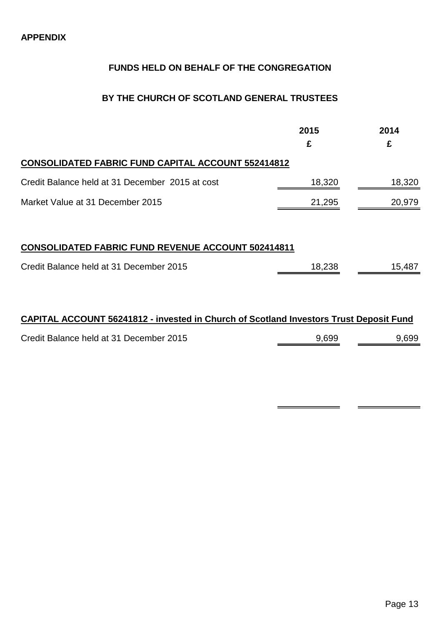# **FUNDS HELD ON BEHALF OF THE CONGREGATION**

### **BY THE CHURCH OF SCOTLAND GENERAL TRUSTEES**

|                                                           | 2015<br>£ | 2014<br>£ |
|-----------------------------------------------------------|-----------|-----------|
| <b>CONSOLIDATED FABRIC FUND CAPITAL ACCOUNT 552414812</b> |           |           |
| Credit Balance held at 31 December 2015 at cost           | 18,320    | 18,320    |
| Market Value at 31 December 2015                          | 21,295    | 20,979    |
|                                                           |           |           |
| <b>CONSOLIDATED FABRIC FUND REVENUE ACCOUNT 502414811</b> |           |           |
| Credit Balance held at 31 December 2015                   | 18,238    | 15,487    |
|                                                           |           |           |

# **CAPITAL ACCOUNT 56241812 - invested in Church of Scotland Investors Trust Deposit Fund**

| Credit Balance held at 31 December 2015 | 9,699 | 9,699 |
|-----------------------------------------|-------|-------|
|                                         |       |       |

 $\blacksquare$